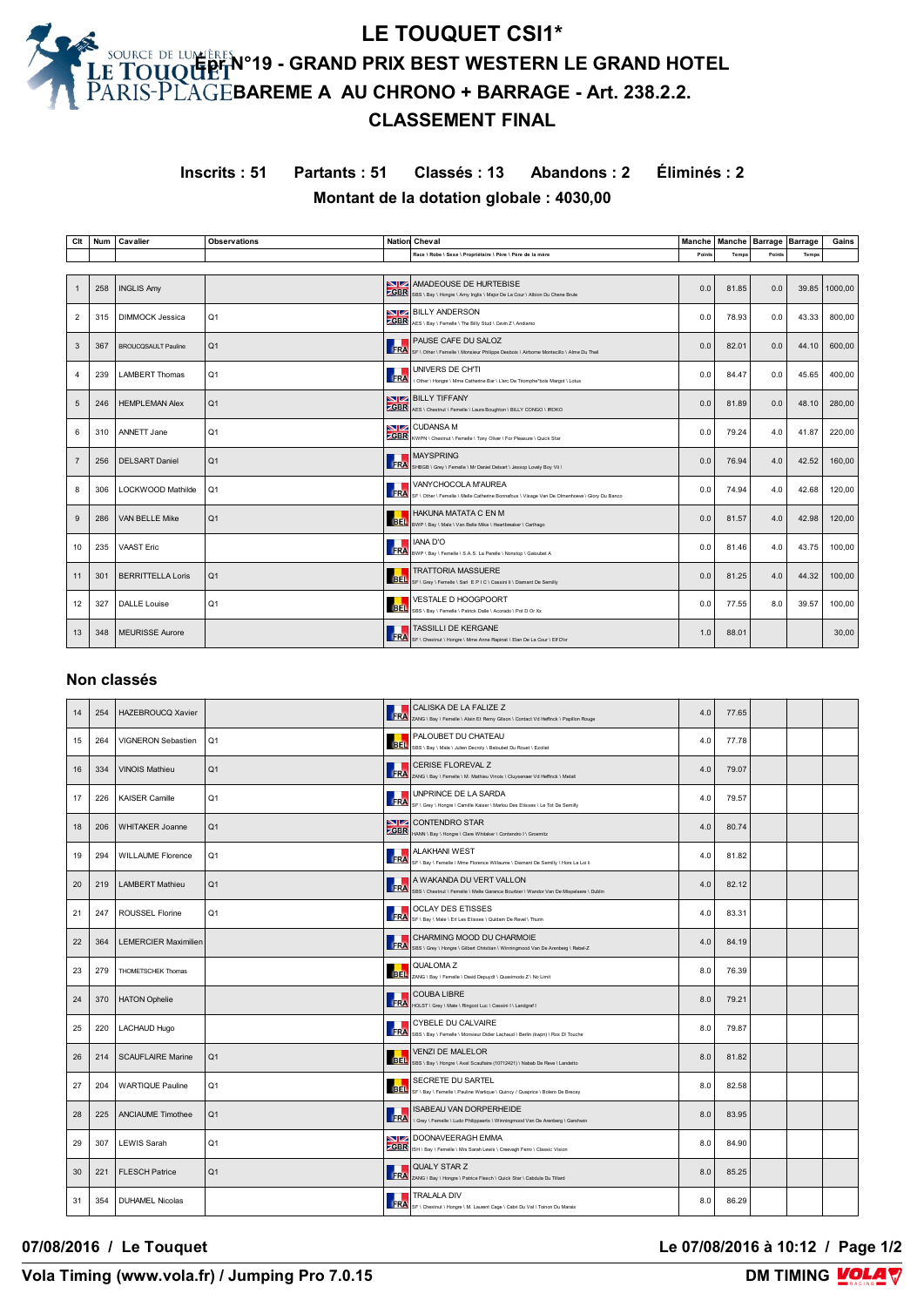# **LE TOUQUET CSI1\* Épr N°19 - GRAND PRIX BEST WESTERN LE GRAND HOTEL BAREME A AU CHRONO + BARRAGE - Art. 238.2.2. CLASSEMENT FINAL**

**Inscrits : 51 Partants : 51 Classés : 13 Abandons : 2 Éliminés : 2 Montant de la dotation globale : 4030,00**

| Clt            | Num | Cavalier                   | <b>Observations</b> |             | <b>Nation Cheval</b>                                                                                                 | Manche | Manche   Barrage   Barrage |        |       | Gains   |
|----------------|-----|----------------------------|---------------------|-------------|----------------------------------------------------------------------------------------------------------------------|--------|----------------------------|--------|-------|---------|
|                |     |                            |                     |             | Race \ Robe \ Sexe \ Propriétaire \ Père \ Père de la mère                                                           | Points | Temps                      | Points | Temps |         |
|                |     |                            |                     |             |                                                                                                                      |        |                            |        |       |         |
|                | 258 | <b>INGLIS Amy</b>          |                     |             | AMADEOUSE DE HURTEBISE<br>SBR SINGLE SES \ Bay \ Hongre \ Amy Inglis \ Major De La Cour \ Albion Du Chene Brule      | 0.0    | 81.85                      | 0.0    | 39.85 | 1000.00 |
| $\overline{2}$ | 315 | <b>DIMMOCK Jessica</b>     | Q1                  | <b>ZGBR</b> | <b>NOW BILLY ANDERSON</b><br>AES \ Bay \ Femelle \ The Billy Stud \ Cevin Z \ Andiamo                                | 0.0    | 78.93                      | 0.0    | 43.33 | 800.00  |
| 3              | 367 | <b>BROUCQSAULT Pauline</b> | Q1                  | FRA         | <b>PAUSE CAFE DU SALOZ</b><br>SF \ Other \ Femelle \ Monsieur Philippe Desbois \ Airborne Montecillo \ Alme Du Theil | 0.0    | 82.01                      | 0.0    | 44.10 | 600,00  |
| 4              | 239 | <b>LAMBERT Thomas</b>      | Q1                  | <b>FRA</b>  | UNIVERS DE CH'TI<br>\ Other \ Hongre \ Mme Catherine Bar \ L'arc De Triomphe*bois Margot \ Lotus                     | 0.0    | 84.47                      | 0.0    | 45.65 | 400,00  |
| 5              | 246 | <b>HEMPLEMAN Alex</b>      | Q1                  | <b>ZGBR</b> | <b>NVIZA BILLY TIFFANY</b><br>AES \ Chestnut \ Femelle \ Laura Boughton \ BILLY CONGO \ IROKO                        | 0.0    | 81.89                      | 0.0    | 48.10 | 280.00  |
| 6              | 310 | ANNETT Jane                | Q <sub>1</sub>      | <b>ZGBR</b> | <b>NIZ</b> CUDANSA M<br>KWPN \ Chestnut \ Femelle \ Tony Oliver \ For Pleasure \ Quick Star                          | 0.0    | 79.24                      | 4.0    | 41.87 | 220.00  |
| $\overline{7}$ | 256 | <b>DELSART Daniel</b>      | Q1                  | <b>FRA</b>  | <b>MAYSPRING</b><br>SHBGB \ Grey \ Femelle \ Mr Daniel Delsart \ Jessop Lovely Boy Vii \                             | 0.0    | 76.94                      | 4.0    | 42.52 | 160.00  |
| 8              | 306 | LOCKWOOD Mathilde          | Q1                  | <b>FRA</b>  | VANYCHOCOLA M'AUREA<br>SF \ Other \ Femelle \ Melle Catherine Bonnafous \ Visage Van De Olmenhoeve \ Glory Du Banco  | 0.0    | 74.94                      | 4.0    | 42.68 | 120,00  |
| 9              | 286 | <b>VAN BELLE Mike</b>      | Q1                  |             | HAKUNA MATATA C EN M<br>BEL BWP \ Bay \ Male \ Van Belle Mike \ Heartbreaker \ Carthago                              | 0.0    | 81.57                      | 4.0    | 42.98 | 120.00  |
| 10             | 235 | <b>VAAST Eric</b>          |                     | FRA         | <b>IANA D'O</b><br>BWP \ Bay \ Femelle \ S.A.S. La Perelle \ Nonstop \ Galoubet A                                    | 0.0    | 81.46                      | 4.0    | 43.75 | 100,00  |
| 11             | 301 | <b>BERRITTELLA Loris</b>   | Q1                  | <b>BEL</b>  | <b>TRATTORIA MASSUERE</b><br>SF \ Grey \ Femelle \ Sarl E P   C \ Cassini li \ Diamant De Semilly                    | 0.0    | 81.25                      | 4.0    | 44.32 | 100,00  |
| 12             | 327 | <b>DALLE</b> Louise        | Q1                  | <b>BEL</b>  | <b>VESTALE D HOOGPOORT</b><br>SBS \ Bav \ Femelle \ Patrick Dalle \ Acorado \ Pot D Or Xx                            | 0.0    | 77.55                      | 8.0    | 39.57 | 100.00  |
| 13             | 348 | <b>MEURISSE Aurore</b>     |                     |             | <b>TASSILLI DE KERGANE</b><br>FRA SF \ Chestnut \ Hongre \ Mme Anne Rapinat \ Elan De La Cour \ Elf D'or             | 1.0    | 88.01                      |        |       | 30,00   |

#### **Non classés**

| 14 | 254 | <b>HAZEBROUCQ Xavier</b>    |                |                               | CALISKA DE LA FALIZE Z<br>FRA ZANG \ Bay \ Femelle \ Alain Et Remy Gilson \ Contact Vd Heffinck \ Papillon Rouge                | 4.0 | 77.65 |  |  |
|----|-----|-----------------------------|----------------|-------------------------------|---------------------------------------------------------------------------------------------------------------------------------|-----|-------|--|--|
| 15 | 264 | VIGNERON Sebastien          | Q1             |                               | PALOUBET DU CHATEAU<br>BEL SBS \ Bay \ Male \ Julien Decroly \ Baloubet Du Rouet \ Ezoliet                                      | 4.0 | 77.78 |  |  |
| 16 | 334 | <b>VINOIS Mathieu</b>       | Q1             |                               | <b>CERISE FLOREVAL Z</b><br>FRA ZANG \ Bay \ Femelle \ M. Mathieu Vinois \ Cluysenaer Vd Heffinck \ Metall                      | 4.0 | 79.07 |  |  |
| 17 | 226 | <b>KAISER Camille</b>       | Q1             | FRA                           | UNPRINCE DE LA SARDA<br>SF \ Grey \ Hongre \ Camille Kaiser \ Marlou Des Etisses \ Le Tot De Semilly                            | 4.0 | 79.57 |  |  |
| 18 | 206 | <b>WHITAKER Joanne</b>      | Q1             | <b>NZ</b>                     | <b>CONTENDRO STAR</b><br>CBR HANN \ Bay \ Hongre \ Clare Whitaker \ Contendro I \ Groemitz                                      | 4.0 | 80.74 |  |  |
| 19 | 294 | <b>WILLAUME Florence</b>    | Q1             |                               | ALAKHANI WEST<br>ALAKHANI VV E D I<br>FRA SF \ Bay \ Femelle \ Mme Florence Willaume \ Diamant De Semilly \ Hors La Loi ii      | 4.0 | 81.82 |  |  |
| 20 | 219 | <b>LAMBERT Mathieu</b>      | Q1             |                               | A WAKANDA DU VERT VALLON<br>FRA SBS \ Chestnut \ Femelle \ Melle Garance Bourbier \ Wandor Van De Mispelaere \ Dublin           | 4.0 | 82.12 |  |  |
| 21 | 247 | <b>ROUSSEL Florine</b>      | Q1             |                               | <b>OCLAY DES ETISSES</b><br><b>FRA</b> OCLAY UEO LINUS-<br>FRA SF\Bay\Male\Eri Les Etisses\Quidam De Revel\Thurin               | 4.0 | 83.31 |  |  |
| 22 | 364 | <b>LEMERCIER Maximilien</b> |                |                               | CHARMING MOOD DU CHARMOIE<br>SERTING MUUL DU CH N N NO-1 DE Arenberg   Rebel-Z                                                  | 4.0 | 84.19 |  |  |
| 23 | 279 | THOMETSCHEK Thomas          |                |                               | QUALOMA Z<br>BEL ZANG \ Bay \ Femelle \ David Depuydt \ Quasimodo Z \ No Limit                                                  | 8.0 | 76.39 |  |  |
| 24 | 370 | <b>HATON Ophelie</b>        |                |                               | COUBA LIBRE<br>FRA HOLST \ Grey \ Male \ Ringoot Luc \ Cassini I \ Landgraf I                                                   | 8.0 | 79.21 |  |  |
| 25 | 220 | <b>LACHAUD Hugo</b>         |                |                               | CYBELE DU CALVAIRE<br>CYBELE DU UNE V W \-<br>FRA SBS \ Bay \ Femelle \ Monsieur Didier Lachaud \ Berlin (kwpn) \ Rox DI Touche | 8.0 | 79.87 |  |  |
| 26 | 214 | <b>SCAUFLAIRE Marine</b>    | Q1             |                               | <b>VENZI DE MALELOR</b><br>BEL SBS \ Bay \ Hongre \ Axel Scaufaire (10712421) \ Nabab De Reve \ Landetto                        | 8.0 | 81.82 |  |  |
| 27 | 204 | <b>WARTIQUE Pauline</b>     | Q <sub>1</sub> |                               | SECRETE DU SARTEL<br>BEL SF \ Bay \ Femelle \ Pauline Wartique \ Quincy / Quaprice \ Bolero De Brecey                           | 8.0 | 82.58 |  |  |
| 28 | 225 | <b>ANCIAUME Timothee</b>    | Q <sub>1</sub> | $\left  \mathbf{FRA} \right $ | ISABEAU VAN DORPERHEIDE<br>\ Grey \ Femelle \ Ludo Philippaerts \ Winningmood Van De Arenberg \ Gershwin                        | 8.0 | 83.95 |  |  |
| 29 | 307 | <b>LEWIS Sarah</b>          | Q1             |                               | DOONAVEERAGH EMMA<br>CBR ISH \ Bay \ Femelle \ Mrs Sarah Lewis \ Creevagh Ferro \ Classic Vision                                | 8.0 | 84.90 |  |  |
| 30 | 221 | <b>FLESCH Patrice</b>       | Q1             |                               | <b>QUALY STAR Z</b><br>FRA ZANG \ Bay \ Hongre \ Patrice Flesch \ Quick Star \ Cabdula Du Tillard                               | 8.0 | 85.25 |  |  |
| 31 | 354 | <b>DUHAMEL Nicolas</b>      |                |                               | <b>TRALALA DIV</b><br>FRA SF \ Chestnut \ Hongre \ M. Laurent Cage \ Cabri Du Val \ Toinon Du Marais                            | 8.0 | 86.29 |  |  |

**07/08/2016 / Le Touquet Le 07/08/2016 à 10:12 / Page 1/2**